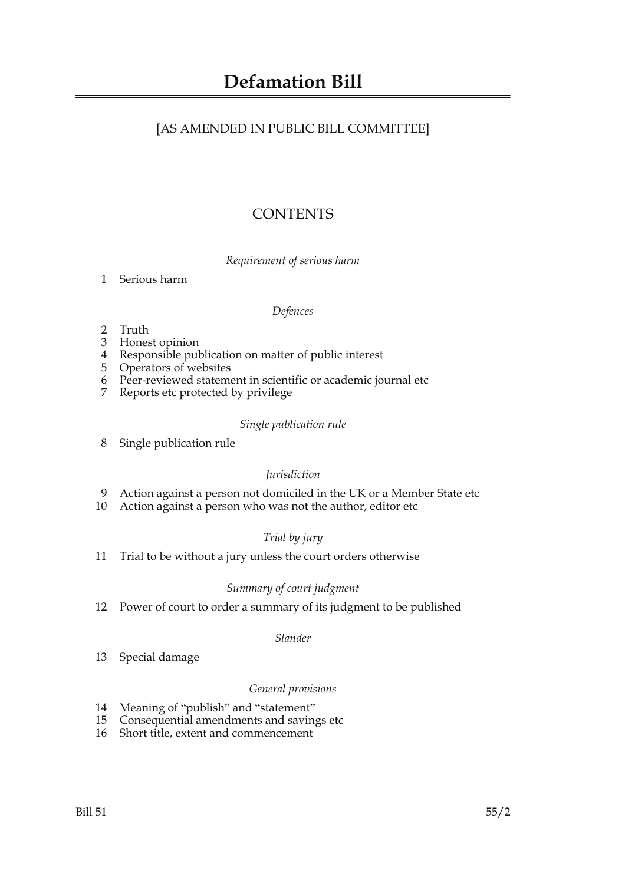# [AS AMENDED IN PUBLIC BILL COMMITTEE]

# **CONTENTS**

*Requirement of serious harm*

1 Serious harm

# *Defences*

- 2 Truth
- 3 Honest opinion
- 4 Responsible publication on matter of public interest
- 5 Operators of websites
- 6 Peer-reviewed statement in scientific or academic journal etc
- 7 Reports etc protected by privilege

# *Single publication rule*

8 Single publication rule

# *Jurisdiction*

- 9 Action against a person not domiciled in the UK or a Member State etc
- 10 Action against a person who was not the author, editor etc

# *Trial by jury*

11 Trial to be without a jury unless the court orders otherwise

# *Summary of court judgment*

12 Power of court to order a summary of its judgment to be published

# *Slander*

13 Special damage

# *General provisions*

- 14 Meaning of "publish" and "statement"
- 15 Consequential amendments and savings etc
- 16 Short title, extent and commencement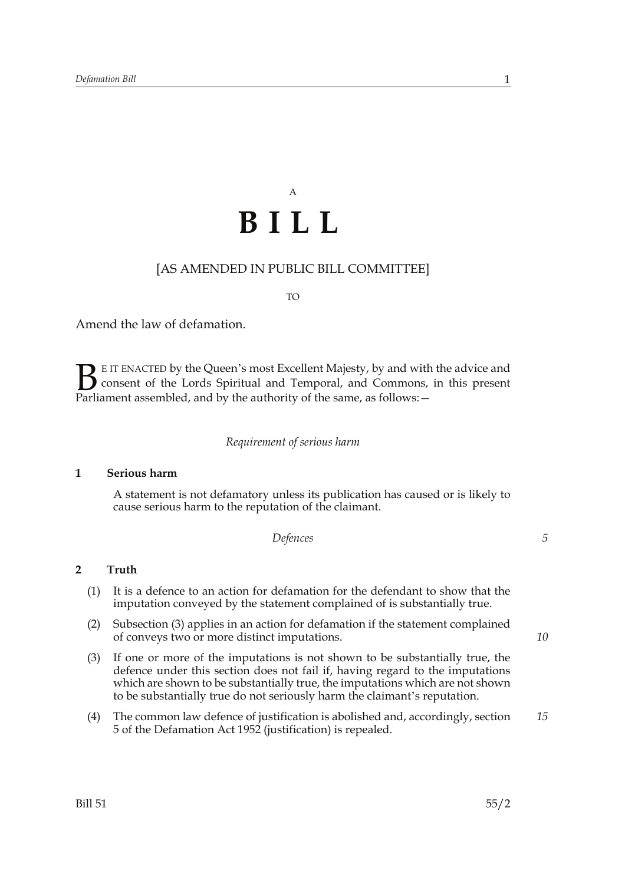# A **BILL**

# [AS AMENDED IN PUBLIC BILL COMMITTEE]

#### TO

Amend the law of defamation.

E IT ENACTED by the Queen's most Excellent Majesty, by and with the advice and consent of the Lords Spiritual and Temporal, and Commons, in this present **B** E IT ENACTED by the Queen's most Excellent Majesty, by and with consent of the Lords Spiritual and Temporal, and Commons, Parliament assembled, and by the authority of the same, as follows:  $-$ 

#### *Requirement of serious harm*

#### **1 Serious harm**

A statement is not defamatory unless its publication has caused or is likely to cause serious harm to the reputation of the claimant.

*Defences*

# **2 Truth**

- (1) It is a defence to an action for defamation for the defendant to show that the imputation conveyed by the statement complained of is substantially true.
- (2) Subsection (3) applies in an action for defamation if the statement complained of conveys two or more distinct imputations.
- (3) If one or more of the imputations is not shown to be substantially true, the defence under this section does not fail if, having regard to the imputations which are shown to be substantially true, the imputations which are not shown to be substantially true do not seriously harm the claimant's reputation.
- (4) The common law defence of justification is abolished and, accordingly, section 5 of the Defamation Act 1952 (justification) is repealed. *15*

*10*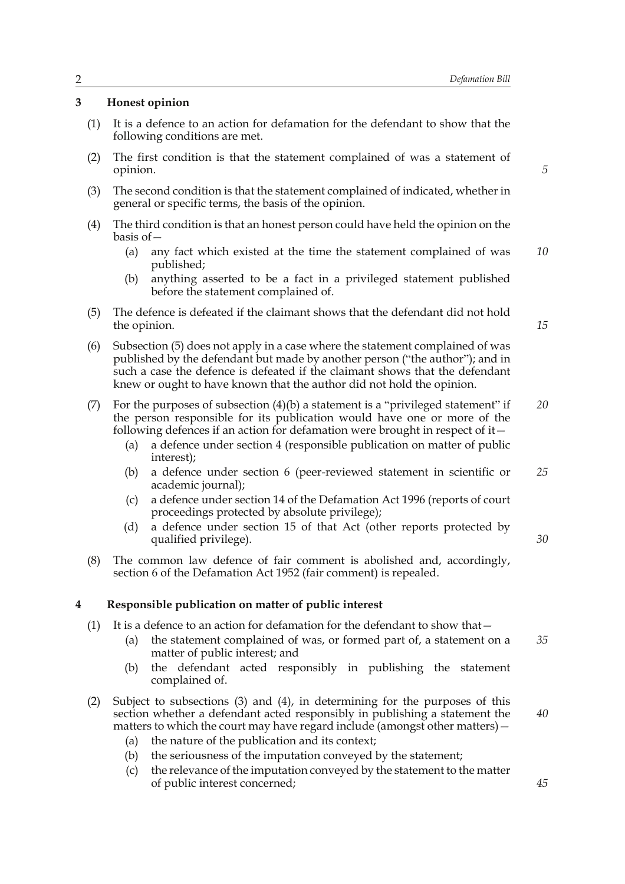#### **3 Honest opinion**

- (1) It is a defence to an action for defamation for the defendant to show that the following conditions are met.
- (2) The first condition is that the statement complained of was a statement of opinion.
- (3) The second condition is that the statement complained of indicated, whether in general or specific terms, the basis of the opinion.
- (4) The third condition is that an honest person could have held the opinion on the basis of—
	- (a) any fact which existed at the time the statement complained of was published; *10*
	- (b) anything asserted to be a fact in a privileged statement published before the statement complained of.
- (5) The defence is defeated if the claimant shows that the defendant did not hold the opinion.
- (6) Subsection (5) does not apply in a case where the statement complained of was published by the defendant but made by another person ("the author"); and in such a case the defence is defeated if the claimant shows that the defendant knew or ought to have known that the author did not hold the opinion.
- (7) For the purposes of subsection (4)(b) a statement is a "privileged statement" if the person responsible for its publication would have one or more of the following defences if an action for defamation were brought in respect of it $-$ *20*
	- (a) a defence under section 4 (responsible publication on matter of public interest);
	- (b) a defence under section 6 (peer-reviewed statement in scientific or academic journal); *25*
	- (c) a defence under section 14 of the Defamation Act 1996 (reports of court proceedings protected by absolute privilege);
	- (d) a defence under section 15 of that Act (other reports protected by qualified privilege).
- (8) The common law defence of fair comment is abolished and, accordingly, section 6 of the Defamation Act 1952 (fair comment) is repealed.

#### **4 Responsible publication on matter of public interest**

- (1) It is a defence to an action for defamation for the defendant to show that—
	- (a) the statement complained of was, or formed part of, a statement on a matter of public interest; and *35*
	- (b) the defendant acted responsibly in publishing the statement complained of.
- (2) Subject to subsections (3) and (4), in determining for the purposes of this section whether a defendant acted responsibly in publishing a statement the matters to which the court may have regard include (amongst other matters)—
	- (a) the nature of the publication and its context;
	- (b) the seriousness of the imputation conveyed by the statement;
	- (c) the relevance of the imputation conveyed by the statement to the matter of public interest concerned;

*5*

*15*

*30*

*40*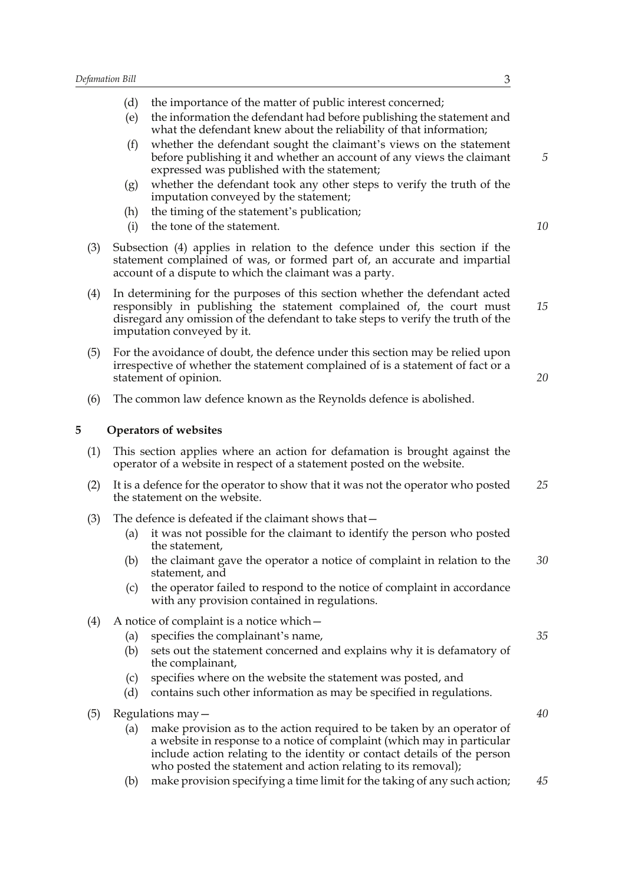|     | Defamation Bill<br>3                                                                                                                                                                      |                                                                                                                                                                                                                                                                                                |  |
|-----|-------------------------------------------------------------------------------------------------------------------------------------------------------------------------------------------|------------------------------------------------------------------------------------------------------------------------------------------------------------------------------------------------------------------------------------------------------------------------------------------------|--|
|     | (d)<br>(e)                                                                                                                                                                                | the importance of the matter of public interest concerned;<br>the information the defendant had before publishing the statement and                                                                                                                                                            |  |
|     | (f)                                                                                                                                                                                       | what the defendant knew about the reliability of that information;<br>whether the defendant sought the claimant's views on the statement<br>before publishing it and whether an account of any views the claimant                                                                              |  |
|     | (g)                                                                                                                                                                                       | expressed was published with the statement;<br>whether the defendant took any other steps to verify the truth of the<br>imputation conveyed by the statement;                                                                                                                                  |  |
|     | (h)<br>(i)                                                                                                                                                                                | the timing of the statement's publication;<br>the tone of the statement.                                                                                                                                                                                                                       |  |
| (3) |                                                                                                                                                                                           | Subsection (4) applies in relation to the defence under this section if the<br>statement complained of was, or formed part of, an accurate and impartial<br>account of a dispute to which the claimant was a party.                                                                            |  |
| (4) |                                                                                                                                                                                           | In determining for the purposes of this section whether the defendant acted<br>responsibly in publishing the statement complained of, the court must<br>disregard any omission of the defendant to take steps to verify the truth of the<br>imputation conveyed by it.                         |  |
| (5) | For the avoidance of doubt, the defence under this section may be relied upon<br>irrespective of whether the statement complained of is a statement of fact or a<br>statement of opinion. |                                                                                                                                                                                                                                                                                                |  |
| (6) |                                                                                                                                                                                           | The common law defence known as the Reynolds defence is abolished.                                                                                                                                                                                                                             |  |
| 5   |                                                                                                                                                                                           | <b>Operators of websites</b>                                                                                                                                                                                                                                                                   |  |
| (1) | This section applies where an action for defamation is brought against the<br>operator of a website in respect of a statement posted on the website.                                      |                                                                                                                                                                                                                                                                                                |  |
| (2) | It is a defence for the operator to show that it was not the operator who posted<br>the statement on the website.                                                                         |                                                                                                                                                                                                                                                                                                |  |
| (3) | (a)                                                                                                                                                                                       | The defence is defeated if the claimant shows that-<br>it was not possible for the claimant to identify the person who posted<br>the statement,                                                                                                                                                |  |
|     | (b)                                                                                                                                                                                       | the claimant gave the operator a notice of complaint in relation to the<br>statement, and                                                                                                                                                                                                      |  |
|     | (c)                                                                                                                                                                                       | the operator failed to respond to the notice of complaint in accordance<br>with any provision contained in regulations.                                                                                                                                                                        |  |
| (4) |                                                                                                                                                                                           | A notice of complaint is a notice which -                                                                                                                                                                                                                                                      |  |
|     | (a)<br>(b)                                                                                                                                                                                | specifies the complainant's name,<br>sets out the statement concerned and explains why it is defamatory of<br>the complainant,                                                                                                                                                                 |  |
|     | (c)<br>(d)                                                                                                                                                                                | specifies where on the website the statement was posted, and<br>contains such other information as may be specified in regulations.                                                                                                                                                            |  |
| (5) | Regulations may $-$                                                                                                                                                                       |                                                                                                                                                                                                                                                                                                |  |
|     | (a)                                                                                                                                                                                       | make provision as to the action required to be taken by an operator of<br>a website in response to a notice of complaint (which may in particular<br>include action relating to the identity or contact details of the person<br>who posted the statement and action relating to its removal); |  |

(b) make provision specifying a time limit for the taking of any such action; *45*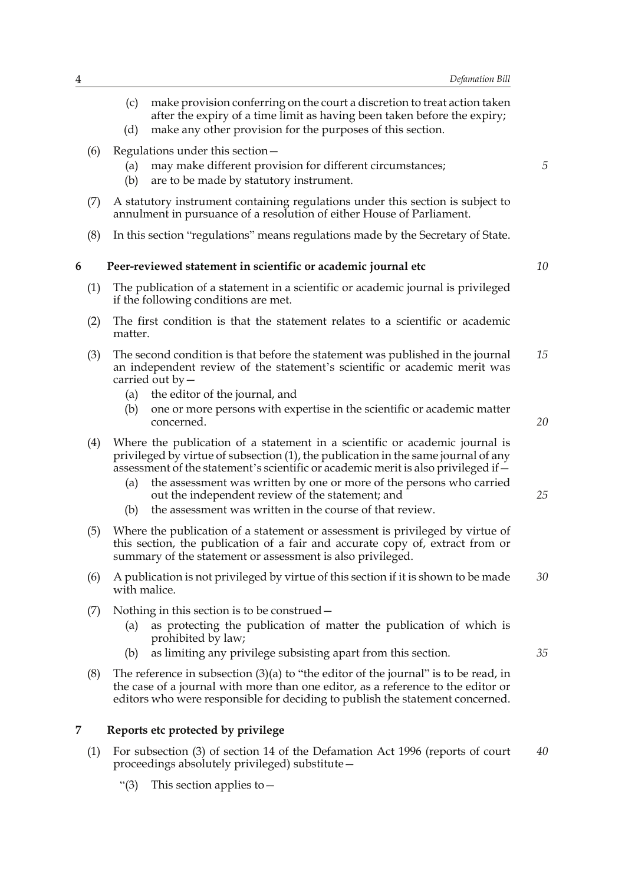(c) make provision conferring on the court a discretion to treat action taken after the expiry of a time limit as having been taken before the expiry; (d) make any other provision for the purposes of this section. (6) Regulations under this section— (a) may make different provision for different circumstances; (b) are to be made by statutory instrument. (7) A statutory instrument containing regulations under this section is subject to annulment in pursuance of a resolution of either House of Parliament. (8) In this section "regulations" means regulations made by the Secretary of State. **6 Peer-reviewed statement in scientific or academic journal etc** (1) The publication of a statement in a scientific or academic journal is privileged if the following conditions are met. (2) The first condition is that the statement relates to a scientific or academic matter. (3) The second condition is that before the statement was published in the journal an independent review of the statement's scientific or academic merit was carried out by— (a) the editor of the journal, and (b) one or more persons with expertise in the scientific or academic matter concerned. (4) Where the publication of a statement in a scientific or academic journal is privileged by virtue of subsection (1), the publication in the same journal of any assessment of the statement's scientific or academic merit is also privileged if— (a) the assessment was written by one or more of the persons who carried out the independent review of the statement; and (b) the assessment was written in the course of that review. (5) Where the publication of a statement or assessment is privileged by virtue of this section, the publication of a fair and accurate copy of, extract from or summary of the statement or assessment is also privileged. (6) A publication is not privileged by virtue of this section if it is shown to be made with malice. (7) Nothing in this section is to be construed— (a) as protecting the publication of matter the publication of which is prohibited by law; (b) as limiting any privilege subsisting apart from this section. (8) The reference in subsection  $(3)(a)$  to "the editor of the journal" is to be read, in the case of a journal with more than one editor, as a reference to the editor or *5 10 15 20 25 30 35*

# **7 Reports etc protected by privilege**

(1) For subsection (3) of section 14 of the Defamation Act 1996 (reports of court proceedings absolutely privileged) substitute— *40*

editors who were responsible for deciding to publish the statement concerned.

"(3) This section applies to—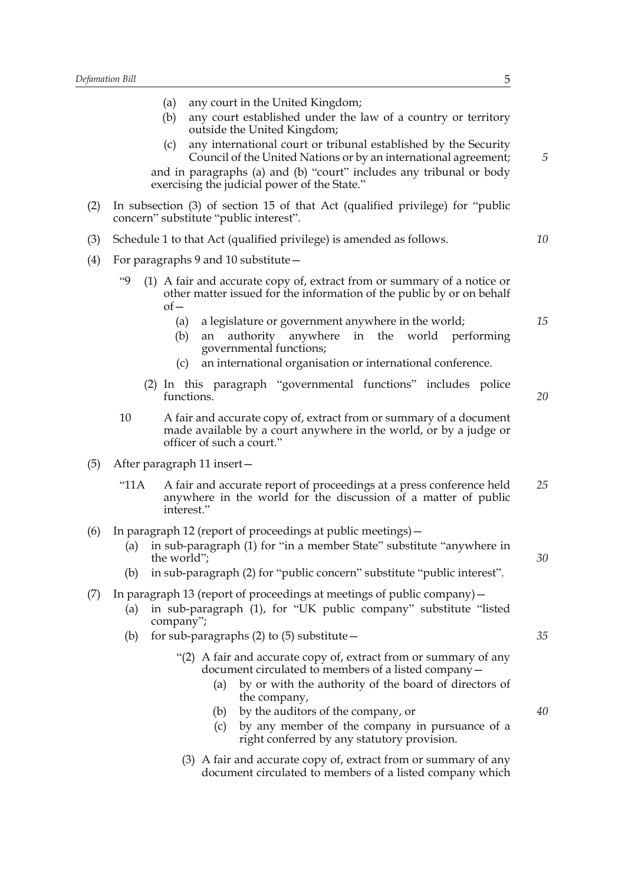|     | any court in the United Kingdom;<br>(a)                                                                                                                                                                          |    |  |  |
|-----|------------------------------------------------------------------------------------------------------------------------------------------------------------------------------------------------------------------|----|--|--|
|     | any court established under the law of a country or territory<br>(b)<br>outside the United Kingdom;                                                                                                              |    |  |  |
|     | any international court or tribunal established by the Security<br>(c)<br>Council of the United Nations or by an international agreement;<br>and in paragraphs (a) and (b) "court" includes any tribunal or body | 5  |  |  |
|     | exercising the judicial power of the State."                                                                                                                                                                     |    |  |  |
| (2) | In subsection (3) of section 15 of that Act (qualified privilege) for "public<br>concern" substitute "public interest".                                                                                          |    |  |  |
| (3) | Schedule 1 to that Act (qualified privilege) is amended as follows.                                                                                                                                              | 10 |  |  |
| (4) | For paragraphs 9 and 10 substitute –                                                                                                                                                                             |    |  |  |
|     | $^{49}$<br>(1) A fair and accurate copy of, extract from or summary of a notice or<br>other matter issued for the information of the public by or on behalf<br>$of-$                                             |    |  |  |
|     | a legislature or government anywhere in the world;<br>(a)<br>authority<br>anywhere in the world performing<br>(b)<br>an<br>governmental functions;                                                               | 15 |  |  |
|     | an international organisation or international conference.<br>(c)                                                                                                                                                |    |  |  |
|     | (2) In this paragraph "governmental functions" includes police<br>functions.                                                                                                                                     | 20 |  |  |
|     | 10<br>A fair and accurate copy of, extract from or summary of a document<br>made available by a court anywhere in the world, or by a judge or<br>officer of such a court."                                       |    |  |  |
| (5) | After paragraph 11 insert-                                                                                                                                                                                       |    |  |  |
|     | "11A<br>A fair and accurate report of proceedings at a press conference held<br>anywhere in the world for the discussion of a matter of public<br>interest."                                                     | 25 |  |  |
| (6) | In paragraph 12 (report of proceedings at public meetings) –<br>in sub-paragraph (1) for "in a member State" substitute "anywhere in<br>(a)<br>the world";                                                       | 30 |  |  |
|     | in sub-paragraph (2) for "public concern" substitute "public interest".<br>(b)                                                                                                                                   |    |  |  |
| (7) | In paragraph 13 (report of proceedings at meetings of public company) $-$<br>in sub-paragraph (1), for "UK public company" substitute "listed<br>(a)<br>company";                                                |    |  |  |
|     | for sub-paragraphs $(2)$ to $(5)$ substitute -<br>(b)                                                                                                                                                            | 35 |  |  |
|     | "(2) A fair and accurate copy of, extract from or summary of any<br>document circulated to members of a listed company -<br>by or with the authority of the board of directors of<br>(a)<br>the company,         |    |  |  |
|     | by the auditors of the company, or<br>(b)<br>by any member of the company in pursuance of a<br>(c)<br>right conferred by any statutory provision.                                                                | 40 |  |  |
|     | (3) A fair and accurate copy of, extract from or summary of any<br>document circulated to members of a listed company which                                                                                      |    |  |  |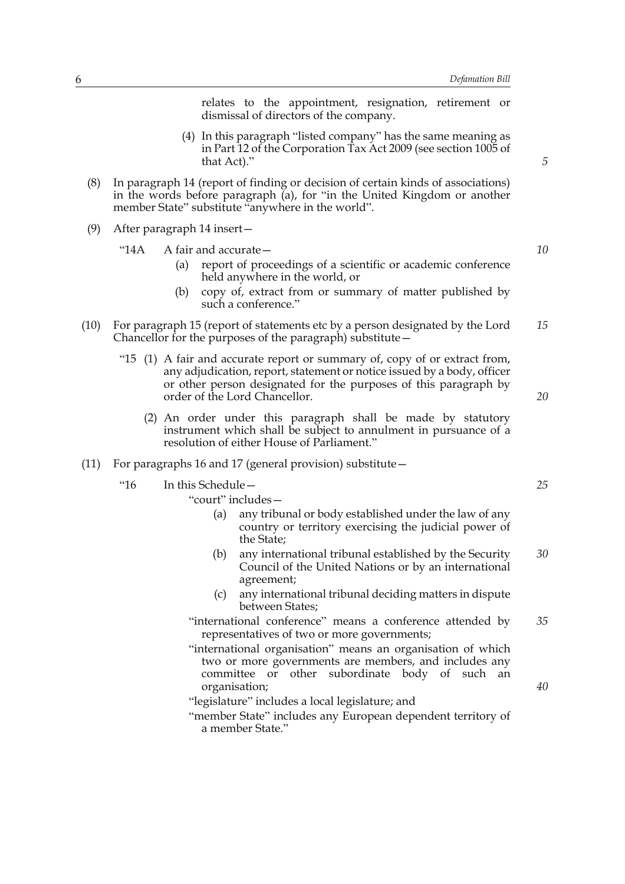relates to the appointment, resignation, retirement or dismissal of directors of the company.

- (4) In this paragraph "listed company" has the same meaning as in Part 12 of the Corporation Tax Act 2009 (see section 1005 of that Act)."
- (8) In paragraph 14 (report of finding or decision of certain kinds of associations) in the words before paragraph (a), for "in the United Kingdom or another member State" substitute "anywhere in the world".
- (9) After paragraph 14 insert—

#### "14A A fair and accurate—

- (a) report of proceedings of a scientific or academic conference held anywhere in the world, or
- (b) copy of, extract from or summary of matter published by such a conference."
- (10) For paragraph 15 (report of statements etc by a person designated by the Lord Chancellor for the purposes of the paragraph) substitute— *15*
	- "15 (1) A fair and accurate report or summary of, copy of or extract from, any adjudication, report, statement or notice issued by a body, officer or other person designated for the purposes of this paragraph by order of the Lord Chancellor.
		- (2) An order under this paragraph shall be made by statutory instrument which shall be subject to annulment in pursuance of a resolution of either House of Parliament."
- (11) For paragraphs 16 and 17 (general provision) substitute—
	- "16 In this Schedule—

"court" includes—

- (a) any tribunal or body established under the law of any country or territory exercising the judicial power of the State;
- (b) any international tribunal established by the Security Council of the United Nations or by an international agreement; *30*
- (c) any international tribunal deciding matters in dispute between States;
- "international conference" means a conference attended by representatives of two or more governments; *35*
- "international organisation" means an organisation of which two or more governments are members, and includes any committee or other subordinate body of such an organisation;
- "legislature" includes a local legislature; and
- "member State" includes any European dependent territory of a member State."

*25*

*20*

*40*

*5*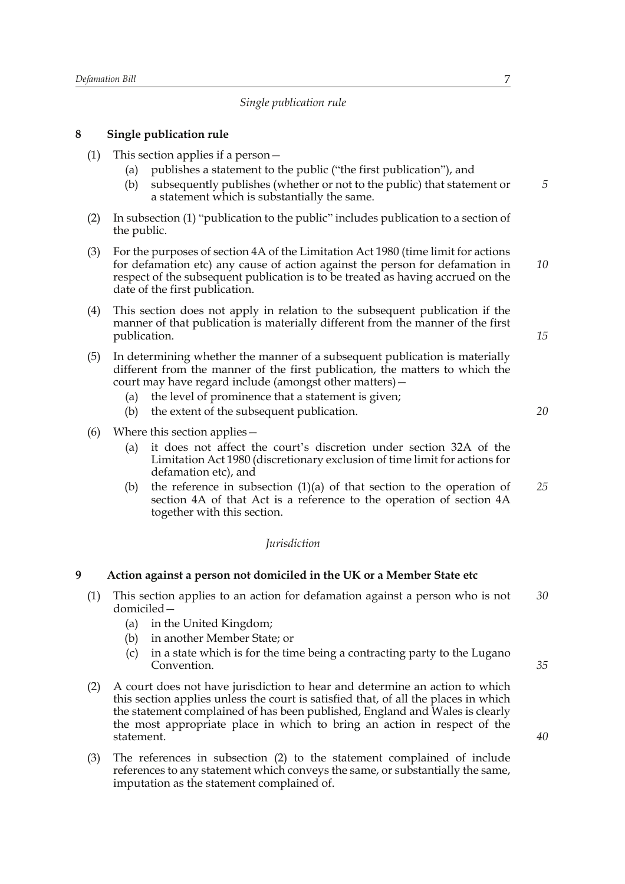# *Single publication rule*

# **8 Single publication rule**

- (1) This section applies if a person—
	- (a) publishes a statement to the public ("the first publication"), and
	- (b) subsequently publishes (whether or not to the public) that statement or a statement which is substantially the same.
- (2) In subsection (1) "publication to the public" includes publication to a section of the public.
- (3) For the purposes of section 4A of the Limitation Act 1980 (time limit for actions for defamation etc) any cause of action against the person for defamation in respect of the subsequent publication is to be treated as having accrued on the date of the first publication. *10*
- (4) This section does not apply in relation to the subsequent publication if the manner of that publication is materially different from the manner of the first publication.
- (5) In determining whether the manner of a subsequent publication is materially different from the manner of the first publication, the matters to which the court may have regard include (amongst other matters)—
	- (a) the level of prominence that a statement is given;
	- (b) the extent of the subsequent publication.
- (6) Where this section applies—
	- (a) it does not affect the court's discretion under section 32A of the Limitation Act 1980 (discretionary exclusion of time limit for actions for defamation etc), and
	- (b) the reference in subsection (1)(a) of that section to the operation of section 4A of that Act is a reference to the operation of section 4A together with this section. *25*

#### *Jurisdiction*

# **9 Action against a person not domiciled in the UK or a Member State etc**

- (1) This section applies to an action for defamation against a person who is not domiciled— *30*
	- (a) in the United Kingdom;
	- (b) in another Member State; or
	- (c) in a state which is for the time being a contracting party to the Lugano Convention.
- (2) A court does not have jurisdiction to hear and determine an action to which this section applies unless the court is satisfied that, of all the places in which the statement complained of has been published, England and Wales is clearly the most appropriate place in which to bring an action in respect of the statement.
- (3) The references in subsection (2) to the statement complained of include references to any statement which conveys the same, or substantially the same, imputation as the statement complained of.

*20*

*15*

*5*

*35*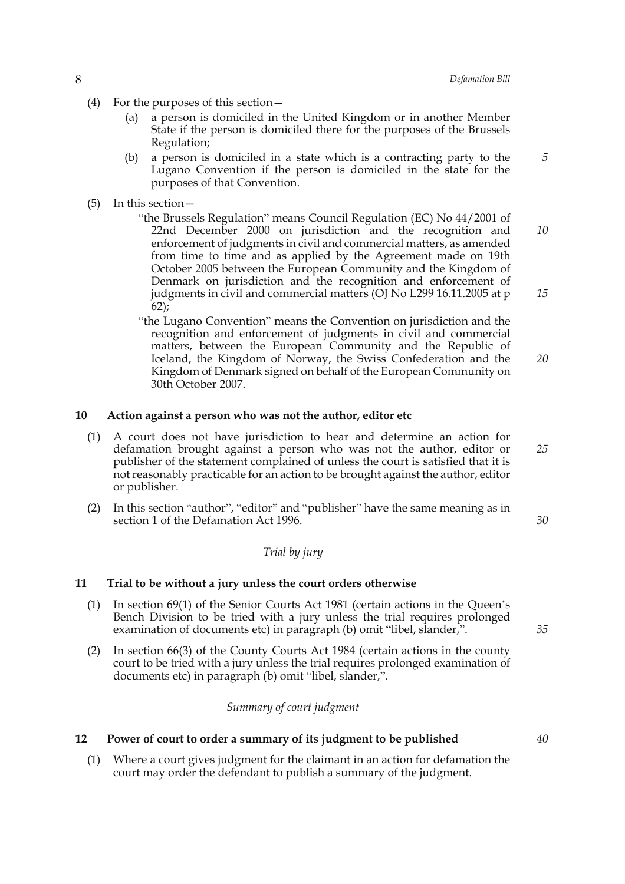- (4) For the purposes of this section—
	- (a) a person is domiciled in the United Kingdom or in another Member State if the person is domiciled there for the purposes of the Brussels Regulation;
	- (b) a person is domiciled in a state which is a contracting party to the Lugano Convention if the person is domiciled in the state for the purposes of that Convention.
- (5) In this section—
	- "the Brussels Regulation" means Council Regulation (EC) No 44/2001 of 22nd December 2000 on jurisdiction and the recognition and enforcement of judgments in civil and commercial matters, as amended from time to time and as applied by the Agreement made on 19th October 2005 between the European Community and the Kingdom of Denmark on jurisdiction and the recognition and enforcement of judgments in civil and commercial matters (OJ No L299 16.11.2005 at p 62); *10 15*
	- "the Lugano Convention" means the Convention on jurisdiction and the recognition and enforcement of judgments in civil and commercial matters, between the European Community and the Republic of Iceland, the Kingdom of Norway, the Swiss Confederation and the Kingdom of Denmark signed on behalf of the European Community on 30th October 2007. *20*

#### **10 Action against a person who was not the author, editor etc**

- (1) A court does not have jurisdiction to hear and determine an action for defamation brought against a person who was not the author, editor or publisher of the statement complained of unless the court is satisfied that it is not reasonably practicable for an action to be brought against the author, editor or publisher.
- (2) In this section "author", "editor" and "publisher" have the same meaning as in section 1 of the Defamation Act 1996.

# *Trial by jury*

#### **11 Trial to be without a jury unless the court orders otherwise**

- (1) In section 69(1) of the Senior Courts Act 1981 (certain actions in the Queen's Bench Division to be tried with a jury unless the trial requires prolonged examination of documents etc) in paragraph (b) omit "libel, slander,".
- (2) In section 66(3) of the County Courts Act 1984 (certain actions in the county court to be tried with a jury unless the trial requires prolonged examination of documents etc) in paragraph (b) omit "libel, slander,".

#### *Summary of court judgment*

#### **12 Power of court to order a summary of its judgment to be published**

(1) Where a court gives judgment for the claimant in an action for defamation the court may order the defendant to publish a summary of the judgment.

*25*

*5*

*30*

*40*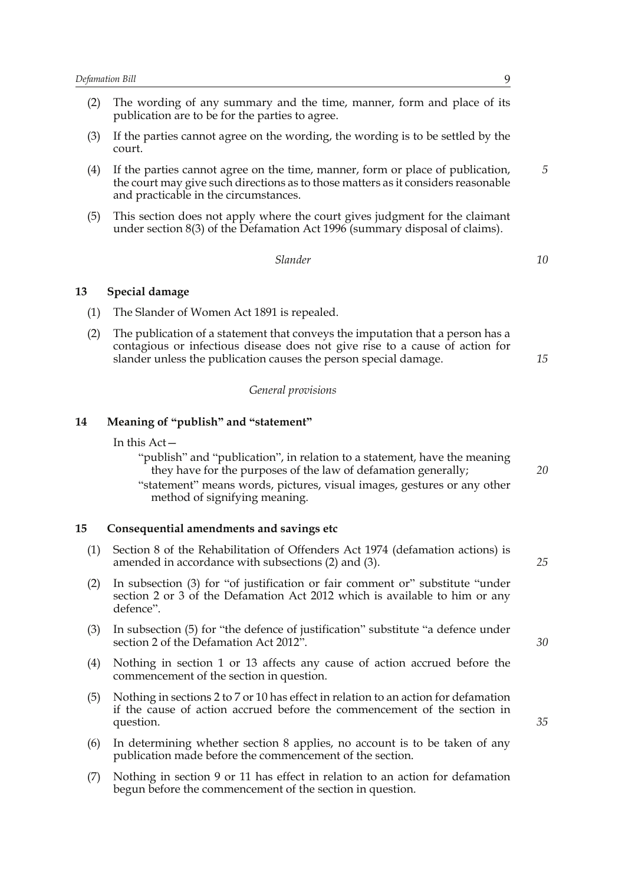- (2) The wording of any summary and the time, manner, form and place of its publication are to be for the parties to agree.
- (3) If the parties cannot agree on the wording, the wording is to be settled by the court.
- (4) If the parties cannot agree on the time, manner, form or place of publication, the court may give such directions as to those matters as it considers reasonable and practicable in the circumstances.
- (5) This section does not apply where the court gives judgment for the claimant under section 8(3) of the Defamation Act 1996 (summary disposal of claims).

*Slander*

# **13 Special damage**

- (1) The Slander of Women Act 1891 is repealed.
- (2) The publication of a statement that conveys the imputation that a person has a contagious or infectious disease does not give rise to a cause of action for slander unless the publication causes the person special damage.

#### *General provisions*

#### **14 Meaning of "publish" and "statement"**

In this Act—

"publish" and "publication", in relation to a statement, have the meaning they have for the purposes of the law of defamation generally; "statement" means words, pictures, visual images, gestures or any other method of signifying meaning.

#### **15 Consequential amendments and savings etc**

- (1) Section 8 of the Rehabilitation of Offenders Act 1974 (defamation actions) is amended in accordance with subsections (2) and (3).
- (2) In subsection (3) for "of justification or fair comment or" substitute "under section 2 or 3 of the Defamation Act 2012 which is available to him or any defence".
- (3) In subsection (5) for "the defence of justification" substitute "a defence under section 2 of the Defamation Act 2012".
- (4) Nothing in section 1 or 13 affects any cause of action accrued before the commencement of the section in question.
- (5) Nothing in sections 2 to 7 or 10 has effect in relation to an action for defamation if the cause of action accrued before the commencement of the section in question.
- (6) In determining whether section 8 applies, no account is to be taken of any publication made before the commencement of the section.
- (7) Nothing in section 9 or 11 has effect in relation to an action for defamation begun before the commencement of the section in question.

*5*

*10*

*15*

*25*

*30*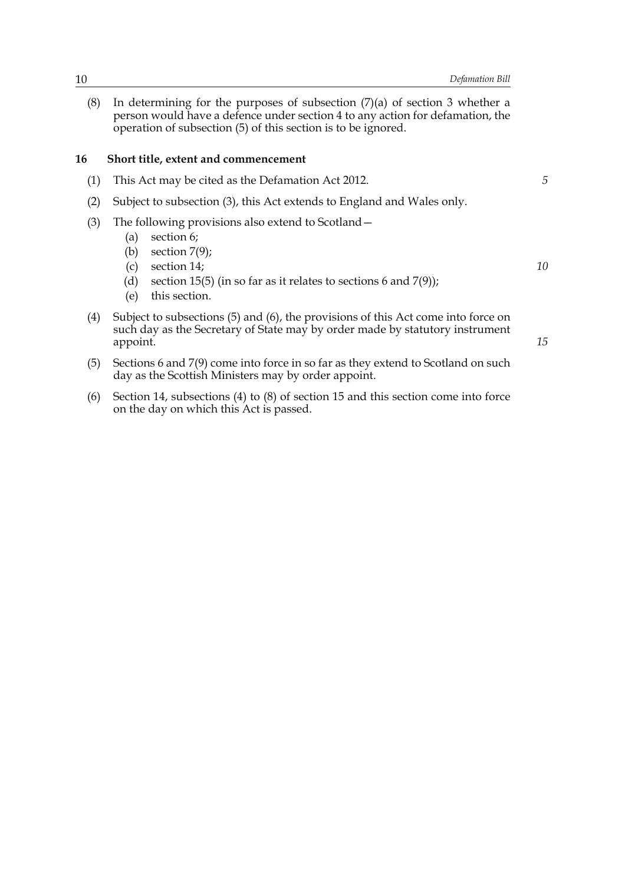(8) In determining for the purposes of subsection (7)(a) of section 3 whether a person would have a defence under section 4 to any action for defamation, the operation of subsection (5) of this section is to be ignored.

#### **16 Short title, extent and commencement**

- (1) This Act may be cited as the Defamation Act 2012.
- (2) Subject to subsection (3), this Act extends to England and Wales only.
- (3) The following provisions also extend to Scotland—
	- (a) section 6;
	- (b) section 7(9);
	- (c) section 14;
	- (d) section 15(5) (in so far as it relates to sections 6 and  $7(9)$ );
	- (e) this section.
- (4) Subject to subsections (5) and (6), the provisions of this Act come into force on such day as the Secretary of State may by order made by statutory instrument appoint.
- (5) Sections 6 and 7(9) come into force in so far as they extend to Scotland on such day as the Scottish Ministers may by order appoint.
- (6) Section 14, subsections (4) to (8) of section 15 and this section come into force on the day on which this Act is passed.

*10*

*15*